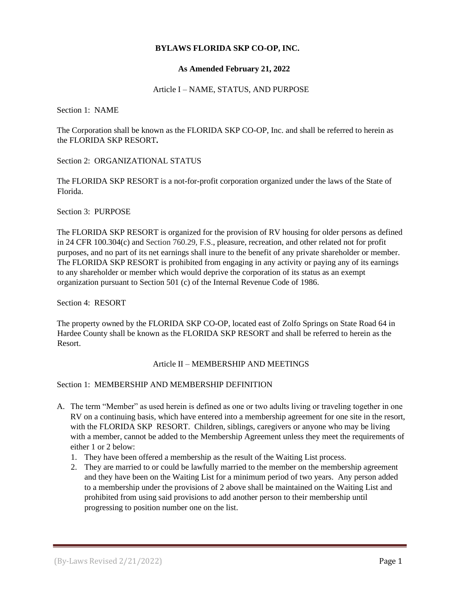## **BYLAWS FLORIDA SKP CO-OP, INC.**

## **As Amended February 21, 2022**

## Article I – NAME, STATUS, AND PURPOSE

Section 1: NAME

The Corporation shall be known as the FLORIDA SKP CO-OP, Inc. and shall be referred to herein as the FLORIDA SKP RESORT**.** 

Section 2: ORGANIZATIONAL STATUS

The FLORIDA SKP RESORT is a not-for-profit corporation organized under the laws of the State of Florida.

Section 3: PURPOSE

The FLORIDA SKP RESORT is organized for the provision of RV housing for older persons as defined in 24 CFR 100.304(c) and Section 760.29, F.S., pleasure, recreation, and other related not for profit purposes, and no part of its net earnings shall inure to the benefit of any private shareholder or member. The FLORIDA SKP RESORT is prohibited from engaging in any activity or paying any of its earnings to any shareholder or member which would deprive the corporation of its status as an exempt organization pursuant to Section 501 (c) of the Internal Revenue Code of 1986.

Section 4: RESORT

The property owned by the FLORIDA SKP CO-OP, located east of Zolfo Springs on State Road 64 in Hardee County shall be known as the FLORIDA SKP RESORT and shall be referred to herein as the Resort.

## Article II – MEMBERSHIP AND MEETINGS

## Section 1: MEMBERSHIP AND MEMBERSHIP DEFINITION

- A. The term "Member" as used herein is defined as one or two adults living or traveling together in one RV on a continuing basis, which have entered into a membership agreement for one site in the resort, with the FLORIDA SKP RESORT. Children, siblings, caregivers or anyone who may be living with a member, cannot be added to the Membership Agreement unless they meet the requirements of either 1 or 2 below:
	- 1. They have been offered a membership as the result of the Waiting List process.
	- 2. They are married to or could be lawfully married to the member on the membership agreement and they have been on the Waiting List for a minimum period of two years. Any person added to a membership under the provisions of 2 above shall be maintained on the Waiting List and prohibited from using said provisions to add another person to their membership until progressing to position number one on the list.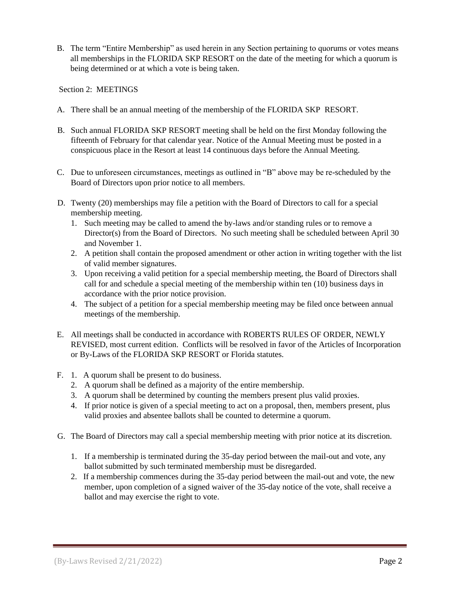B. The term "Entire Membership" as used herein in any Section pertaining to quorums or votes means all memberships in the FLORIDA SKP RESORT on the date of the meeting for which a quorum is being determined or at which a vote is being taken.

Section 2: MEETINGS

- A. There shall be an annual meeting of the membership of the FLORIDA SKP RESORT.
- B. Such annual FLORIDA SKP RESORT meeting shall be held on the first Monday following the fifteenth of February for that calendar year. Notice of the Annual Meeting must be posted in a conspicuous place in the Resort at least 14 continuous days before the Annual Meeting.
- C. Due to unforeseen circumstances, meetings as outlined in "B" above may be re-scheduled by the Board of Directors upon prior notice to all members.
- D. Twenty (20) memberships may file a petition with the Board of Directors to call for a special membership meeting.
	- 1. Such meeting may be called to amend the by-laws and/or standing rules or to remove a Director(s) from the Board of Directors. No such meeting shall be scheduled between April 30 and November 1.
	- 2. A petition shall contain the proposed amendment or other action in writing together with the list of valid member signatures.
	- 3. Upon receiving a valid petition for a special membership meeting, the Board of Directors shall call for and schedule a special meeting of the membership within ten (10) business days in accordance with the prior notice provision.
	- 4. The subject of a petition for a special membership meeting may be filed once between annual meetings of the membership.
- E. All meetings shall be conducted in accordance with ROBERTS RULES OF ORDER, NEWLY REVISED, most current edition. Conflicts will be resolved in favor of the Articles of Incorporation or By-Laws of the FLORIDA SKP RESORT or Florida statutes.
- F. 1. A quorum shall be present to do business.
	- 2. A quorum shall be defined as a majority of the entire membership.
	- 3. A quorum shall be determined by counting the members present plus valid proxies.
	- 4. If prior notice is given of a special meeting to act on a proposal, then, members present, plus valid proxies and absentee ballots shall be counted to determine a quorum.
- G. The Board of Directors may call a special membership meeting with prior notice at its discretion.
	- 1. If a membership is terminated during the 35-day period between the mail-out and vote, any ballot submitted by such terminated membership must be disregarded.
	- 2. If a membership commences during the 35-day period between the mail-out and vote, the new member, upon completion of a signed waiver of the 35-day notice of the vote, shall receive a ballot and may exercise the right to vote.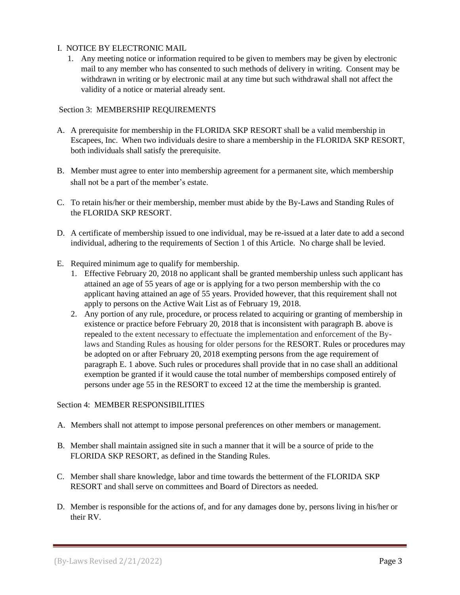## I. NOTICE BY ELECTRONIC MAIL

1. Any meeting notice or information required to be given to members may be given by electronic mail to any member who has consented to such methods of delivery in writing. Consent may be withdrawn in writing or by electronic mail at any time but such withdrawal shall not affect the validity of a notice or material already sent.

## Section 3: MEMBERSHIP REQUIREMENTS

- A. A prerequisite for membership in the FLORIDA SKP RESORT shall be a valid membership in Escapees, Inc. When two individuals desire to share a membership in the FLORIDA SKP RESORT, both individuals shall satisfy the prerequisite.
- B. Member must agree to enter into membership agreement for a permanent site, which membership shall not be a part of the member's estate.
- C. To retain his/her or their membership, member must abide by the By-Laws and Standing Rules of the FLORIDA SKP RESORT.
- D. A certificate of membership issued to one individual, may be re-issued at a later date to add a second individual, adhering to the requirements of Section 1 of this Article. No charge shall be levied.
- E. Required minimum age to qualify for membership.
	- 1. Effective February 20, 2018 no applicant shall be granted membership unless such applicant has attained an age of 55 years of age or is applying for a two person membership with the co applicant having attained an age of 55 years. Provided however, that this requirement shall not apply to persons on the Active Wait List as of February 19, 2018.
	- 2. Any portion of any rule, procedure, or process related to acquiring or granting of membership in existence or practice before February 20, 2018 that is inconsistent with paragraph B. above is repealed to the extent necessary to effectuate the implementation and enforcement of the Bylaws and Standing Rules as housing for older persons for the RESORT. Rules or procedures may be adopted on or after February 20, 2018 exempting persons from the age requirement of paragraph E. 1 above. Such rules or procedures shall provide that in no case shall an additional exemption be granted if it would cause the total number of memberships composed entirely of persons under age 55 in the RESORT to exceed 12 at the time the membership is granted.

## Section 4: MEMBER RESPONSIBILITIES

- A. Members shall not attempt to impose personal preferences on other members or management.
- B. Member shall maintain assigned site in such a manner that it will be a source of pride to the FLORIDA SKP RESORT, as defined in the Standing Rules.
- C. Member shall share knowledge, labor and time towards the betterment of the FLORIDA SKP RESORT and shall serve on committees and Board of Directors as needed.
- D. Member is responsible for the actions of, and for any damages done by, persons living in his/her or their RV.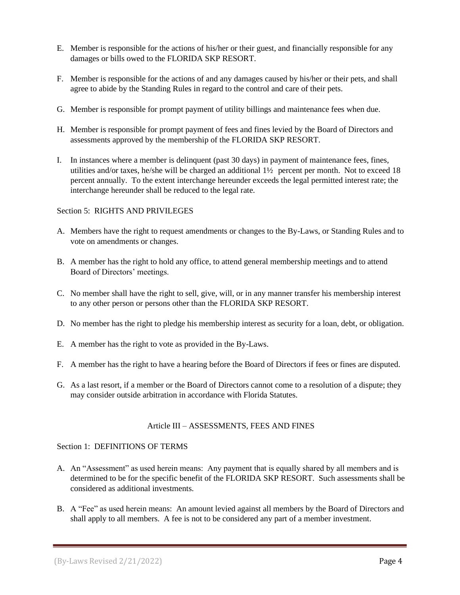- E. Member is responsible for the actions of his/her or their guest, and financially responsible for any damages or bills owed to the FLORIDA SKP RESORT.
- F. Member is responsible for the actions of and any damages caused by his/her or their pets, and shall agree to abide by the Standing Rules in regard to the control and care of their pets.
- G. Member is responsible for prompt payment of utility billings and maintenance fees when due.
- H. Member is responsible for prompt payment of fees and fines levied by the Board of Directors and assessments approved by the membership of the FLORIDA SKP RESORT.
- I. In instances where a member is delinquent (past 30 days) in payment of maintenance fees, fines, utilities and/or taxes, he/she will be charged an additional 1½ percent per month. Not to exceed 18 percent annually. To the extent interchange hereunder exceeds the legal permitted interest rate; the interchange hereunder shall be reduced to the legal rate.

## Section 5: RIGHTS AND PRIVILEGES

- A. Members have the right to request amendments or changes to the By-Laws, or Standing Rules and to vote on amendments or changes.
- B. A member has the right to hold any office, to attend general membership meetings and to attend Board of Directors' meetings.
- C. No member shall have the right to sell, give, will, or in any manner transfer his membership interest to any other person or persons other than the FLORIDA SKP RESORT.
- D. No member has the right to pledge his membership interest as security for a loan, debt, or obligation.
- E. A member has the right to vote as provided in the By-Laws.
- F. A member has the right to have a hearing before the Board of Directors if fees or fines are disputed.
- G. As a last resort, if a member or the Board of Directors cannot come to a resolution of a dispute; they may consider outside arbitration in accordance with Florida Statutes.

## Article III – ASSESSMENTS, FEES AND FINES

## Section 1: DEFINITIONS OF TERMS

- A. An "Assessment" as used herein means: Any payment that is equally shared by all members and is determined to be for the specific benefit of the FLORIDA SKP RESORT. Such assessments shall be considered as additional investments.
- B. A "Fee" as used herein means: An amount levied against all members by the Board of Directors and shall apply to all members. A fee is not to be considered any part of a member investment.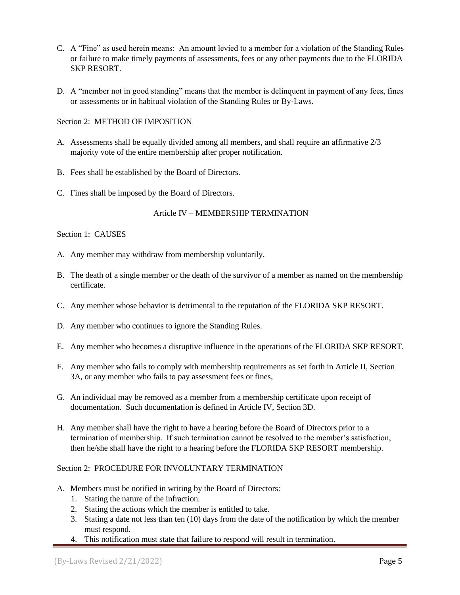- C. A "Fine" as used herein means: An amount levied to a member for a violation of the Standing Rules or failure to make timely payments of assessments, fees or any other payments due to the FLORIDA SKP RESORT.
- D. A "member not in good standing" means that the member is delinquent in payment of any fees, fines or assessments or in habitual violation of the Standing Rules or By-Laws.

## Section 2: METHOD OF IMPOSITION

- A. Assessments shall be equally divided among all members, and shall require an affirmative 2/3 majority vote of the entire membership after proper notification.
- B. Fees shall be established by the Board of Directors.
- C. Fines shall be imposed by the Board of Directors.

## Article IV – MEMBERSHIP TERMINATION

## Section 1: CAUSES

- A. Any member may withdraw from membership voluntarily.
- B. The death of a single member or the death of the survivor of a member as named on the membership certificate.
- C. Any member whose behavior is detrimental to the reputation of the FLORIDA SKP RESORT.
- D. Any member who continues to ignore the Standing Rules.
- E. Any member who becomes a disruptive influence in the operations of the FLORIDA SKP RESORT.
- F. Any member who fails to comply with membership requirements as set forth in Article II, Section 3A, or any member who fails to pay assessment fees or fines,
- G. An individual may be removed as a member from a membership certificate upon receipt of documentation. Such documentation is defined in Article IV, Section 3D.
- H. Any member shall have the right to have a hearing before the Board of Directors prior to a termination of membership. If such termination cannot be resolved to the member's satisfaction, then he/she shall have the right to a hearing before the FLORIDA SKP RESORT membership.

## Section 2: PROCEDURE FOR INVOLUNTARY TERMINATION

- A. Members must be notified in writing by the Board of Directors:
	- 1. Stating the nature of the infraction.
	- 2. Stating the actions which the member is entitled to take.
	- 3. Stating a date not less than ten (10) days from the date of the notification by which the member must respond.
	- 4. This notification must state that failure to respond will result in termination.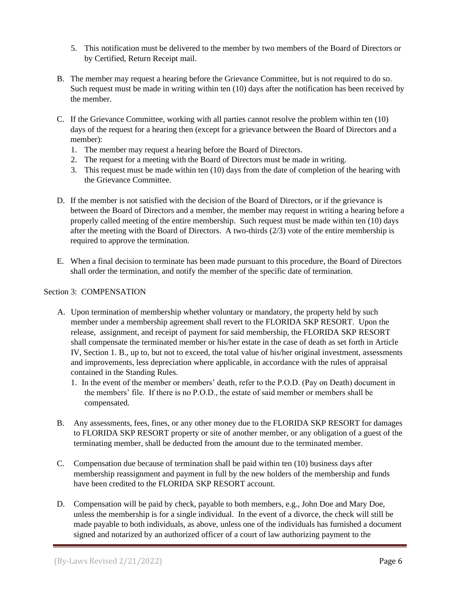- 5. This notification must be delivered to the member by two members of the Board of Directors or by Certified, Return Receipt mail.
- B. The member may request a hearing before the Grievance Committee, but is not required to do so. Such request must be made in writing within ten (10) days after the notification has been received by the member.
- C. If the Grievance Committee, working with all parties cannot resolve the problem within ten (10) days of the request for a hearing then (except for a grievance between the Board of Directors and a member):
	- 1. The member may request a hearing before the Board of Directors.
	- 2. The request for a meeting with the Board of Directors must be made in writing.
	- 3. This request must be made within ten (10) days from the date of completion of the hearing with the Grievance Committee.
- D. If the member is not satisfied with the decision of the Board of Directors, or if the grievance is between the Board of Directors and a member, the member may request in writing a hearing before a properly called meeting of the entire membership. Such request must be made within ten (10) days after the meeting with the Board of Directors. A two-thirds (2/3) vote of the entire membership is required to approve the termination.
- E. When a final decision to terminate has been made pursuant to this procedure, the Board of Directors shall order the termination, and notify the member of the specific date of termination.

# Section 3: COMPENSATION

- A. Upon termination of membership whether voluntary or mandatory, the property held by such member under a membership agreement shall revert to the FLORIDA SKP RESORT. Upon the release, assignment, and receipt of payment for said membership, the FLORIDA SKP RESORT shall compensate the terminated member or his/her estate in the case of death as set forth in Article IV, Section 1. B., up to, but not to exceed, the total value of his/her original investment, assessments and improvements, less depreciation where applicable, in accordance with the rules of appraisal contained in the Standing Rules.
	- 1. In the event of the member or members' death, refer to the P.O.D. (Pay on Death) document in the members' file. If there is no P.O.D., the estate of said member or members shall be compensated.
- B. Any assessments, fees, fines, or any other money due to the FLORIDA SKP RESORT for damages to FLORIDA SKP RESORT property or site of another member, or any obligation of a guest of the terminating member, shall be deducted from the amount due to the terminated member.
- C. Compensation due because of termination shall be paid within ten (10) business days after membership reassignment and payment in full by the new holders of the membership and funds have been credited to the FLORIDA SKP RESORT account.
- D. Compensation will be paid by check, payable to both members, e.g., John Doe and Mary Doe, unless the membership is for a single individual. In the event of a divorce, the check will still be made payable to both individuals, as above, unless one of the individuals has furnished a document signed and notarized by an authorized officer of a court of law authorizing payment to the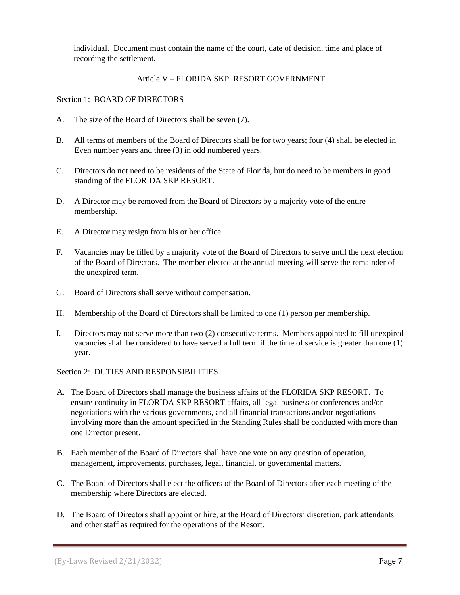individual. Document must contain the name of the court, date of decision, time and place of recording the settlement.

## Article V – FLORIDA SKP RESORT GOVERNMENT

Section 1: BOARD OF DIRECTORS

- A. The size of the Board of Directors shall be seven (7).
- B. All terms of members of the Board of Directors shall be for two years; four (4) shall be elected in Even number years and three (3) in odd numbered years.
- C. Directors do not need to be residents of the State of Florida, but do need to be members in good standing of the FLORIDA SKP RESORT.
- D. A Director may be removed from the Board of Directors by a majority vote of the entire membership.
- E. A Director may resign from his or her office.
- F. Vacancies may be filled by a majority vote of the Board of Directors to serve until the next election of the Board of Directors. The member elected at the annual meeting will serve the remainder of the unexpired term.
- G. Board of Directors shall serve without compensation.
- H. Membership of the Board of Directors shall be limited to one (1) person per membership.
- I. Directors may not serve more than two (2) consecutive terms. Members appointed to fill unexpired vacancies shall be considered to have served a full term if the time of service is greater than one (1) year.

Section 2: DUTIES AND RESPONSIBILITIES

- A. The Board of Directors shall manage the business affairs of the FLORIDA SKP RESORT. To ensure continuity in FLORIDA SKP RESORT affairs, all legal business or conferences and/or negotiations with the various governments, and all financial transactions and/or negotiations involving more than the amount specified in the Standing Rules shall be conducted with more than one Director present.
- B. Each member of the Board of Directors shall have one vote on any question of operation, management, improvements, purchases, legal, financial, or governmental matters.
- C. The Board of Directors shall elect the officers of the Board of Directors after each meeting of the membership where Directors are elected.
- D. The Board of Directors shall appoint or hire, at the Board of Directors' discretion, park attendants and other staff as required for the operations of the Resort.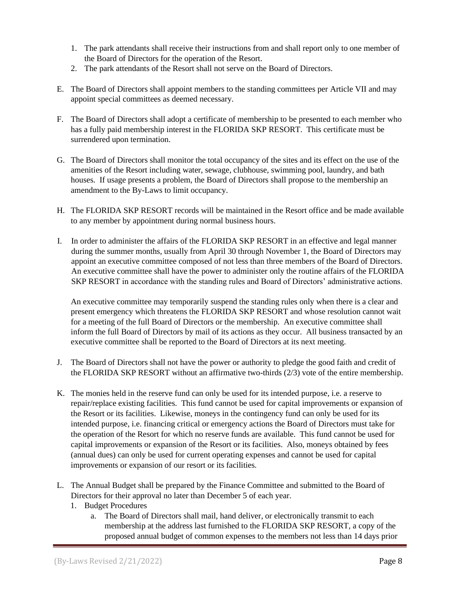- 1. The park attendants shall receive their instructions from and shall report only to one member of the Board of Directors for the operation of the Resort.
- 2. The park attendants of the Resort shall not serve on the Board of Directors.
- E. The Board of Directors shall appoint members to the standing committees per Article VII and may appoint special committees as deemed necessary.
- F. The Board of Directors shall adopt a certificate of membership to be presented to each member who has a fully paid membership interest in the FLORIDA SKP RESORT. This certificate must be surrendered upon termination.
- G. The Board of Directors shall monitor the total occupancy of the sites and its effect on the use of the amenities of the Resort including water, sewage, clubhouse, swimming pool, laundry, and bath houses. If usage presents a problem, the Board of Directors shall propose to the membership an amendment to the By-Laws to limit occupancy.
- H. The FLORIDA SKP RESORT records will be maintained in the Resort office and be made available to any member by appointment during normal business hours.
- I. In order to administer the affairs of the FLORIDA SKP RESORT in an effective and legal manner during the summer months, usually from April 30 through November 1, the Board of Directors may appoint an executive committee composed of not less than three members of the Board of Directors. An executive committee shall have the power to administer only the routine affairs of the FLORIDA SKP RESORT in accordance with the standing rules and Board of Directors' administrative actions.

 An executive committee may temporarily suspend the standing rules only when there is a clear and present emergency which threatens the FLORIDA SKP RESORT and whose resolution cannot wait for a meeting of the full Board of Directors or the membership. An executive committee shall inform the full Board of Directors by mail of its actions as they occur. All business transacted by an executive committee shall be reported to the Board of Directors at its next meeting.

- J. The Board of Directors shall not have the power or authority to pledge the good faith and credit of the FLORIDA SKP RESORT without an affirmative two-thirds (2/3) vote of the entire membership.
- K. The monies held in the reserve fund can only be used for its intended purpose, i.e. a reserve to repair/replace existing facilities. This fund cannot be used for capital improvements or expansion of the Resort or its facilities. Likewise, moneys in the contingency fund can only be used for its intended purpose, i.e. financing critical or emergency actions the Board of Directors must take for the operation of the Resort for which no reserve funds are available. This fund cannot be used for capital improvements or expansion of the Resort or its facilities. Also, moneys obtained by fees (annual dues) can only be used for current operating expenses and cannot be used for capital improvements or expansion of our resort or its facilities.
- L. The Annual Budget shall be prepared by the Finance Committee and submitted to the Board of Directors for their approval no later than December 5 of each year.
	- 1. Budget Procedures
		- a. The Board of Directors shall mail, hand deliver, or electronically transmit to each membership at the address last furnished to the FLORIDA SKP RESORT, a copy of the proposed annual budget of common expenses to the members not less than 14 days prior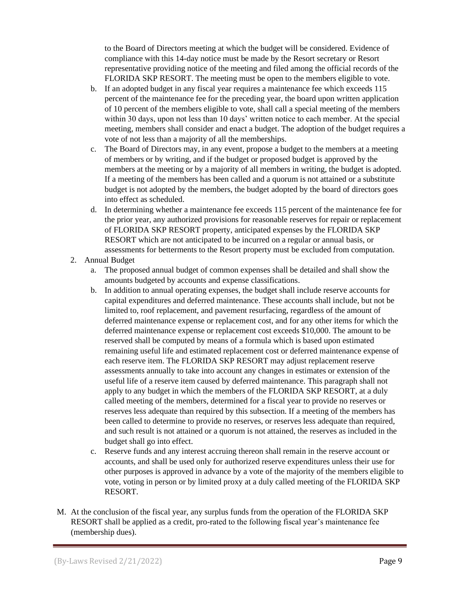to the Board of Directors meeting at which the budget will be considered. Evidence of compliance with this 14-day notice must be made by the Resort secretary or Resort representative providing notice of the meeting and filed among the official records of the FLORIDA SKP RESORT. The meeting must be open to the members eligible to vote.

- b. If an adopted budget in any fiscal year requires a maintenance fee which exceeds 115 percent of the maintenance fee for the preceding year, the board upon written application of 10 percent of the members eligible to vote, shall call a special meeting of the members within 30 days, upon not less than 10 days' written notice to each member. At the special meeting, members shall consider and enact a budget. The adoption of the budget requires a vote of not less than a majority of all the memberships.
- c. The Board of Directors may, in any event, propose a budget to the members at a meeting of members or by writing, and if the budget or proposed budget is approved by the members at the meeting or by a majority of all members in writing, the budget is adopted. If a meeting of the members has been called and a quorum is not attained or a substitute budget is not adopted by the members, the budget adopted by the board of directors goes into effect as scheduled.
- d. In determining whether a maintenance fee exceeds 115 percent of the maintenance fee for the prior year, any authorized provisions for reasonable reserves for repair or replacement of FLORIDA SKP RESORT property, anticipated expenses by the FLORIDA SKP RESORT which are not anticipated to be incurred on a regular or annual basis, or assessments for betterments to the Resort property must be excluded from computation.

## 2. Annual Budget

- a. The proposed annual budget of common expenses shall be detailed and shall show the amounts budgeted by accounts and expense classifications.
- b. In addition to annual operating expenses, the budget shall include reserve accounts for capital expenditures and deferred maintenance. These accounts shall include, but not be limited to, roof replacement, and pavement resurfacing, regardless of the amount of deferred maintenance expense or replacement cost, and for any other items for which the deferred maintenance expense or replacement cost exceeds \$10,000. The amount to be reserved shall be computed by means of a formula which is based upon estimated remaining useful life and estimated replacement cost or deferred maintenance expense of each reserve item. The FLORIDA SKP RESORT may adjust replacement reserve assessments annually to take into account any changes in estimates or extension of the useful life of a reserve item caused by deferred maintenance. This paragraph shall not apply to any budget in which the members of the FLORIDA SKP RESORT, at a duly called meeting of the members, determined for a fiscal year to provide no reserves or reserves less adequate than required by this subsection. If a meeting of the members has been called to determine to provide no reserves, or reserves less adequate than required, and such result is not attained or a quorum is not attained, the reserves as included in the budget shall go into effect.
- c. Reserve funds and any interest accruing thereon shall remain in the reserve account or accounts, and shall be used only for authorized reserve expenditures unless their use for other purposes is approved in advance by a vote of the majority of the members eligible to vote, voting in person or by limited proxy at a duly called meeting of the FLORIDA SKP RESORT.
- M. At the conclusion of the fiscal year, any surplus funds from the operation of the FLORIDA SKP RESORT shall be applied as a credit, pro-rated to the following fiscal year's maintenance fee (membership dues).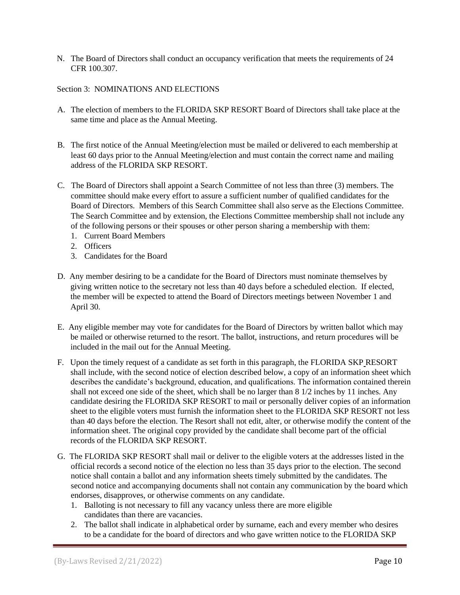N. The Board of Directors shall conduct an occupancy verification that meets the requirements of 24 CFR 100.307.

Section 3: NOMINATIONS AND ELECTIONS

- A. The election of members to the FLORIDA SKP RESORT Board of Directors shall take place at the same time and place as the Annual Meeting.
- B. The first notice of the Annual Meeting/election must be mailed or delivered to each membership at least 60 days prior to the Annual Meeting/election and must contain the correct name and mailing address of the FLORIDA SKP RESORT.
- C. The Board of Directors shall appoint a Search Committee of not less than three (3) members. The committee should make every effort to assure a sufficient number of qualified candidates for the Board of Directors. Members of this Search Committee shall also serve as the Elections Committee. The Search Committee and by extension, the Elections Committee membership shall not include any of the following persons or their spouses or other person sharing a membership with them:
	- 1. Current Board Members
	- 2. Officers
	- 3. Candidates for the Board
- D. Any member desiring to be a candidate for the Board of Directors must nominate themselves by giving written notice to the secretary not less than 40 days before a scheduled election. If elected, the member will be expected to attend the Board of Directors meetings between November 1 and April 30.
- E. Any eligible member may vote for candidates for the Board of Directors by written ballot which may be mailed or otherwise returned to the resort. The ballot, instructions, and return procedures will be included in the mail out for the Annual Meeting.
- F. Upon the timely request of a candidate as set forth in this paragraph, the FLORIDA SKP RESORT shall include, with the second notice of election described below, a copy of an information sheet which describes the candidate's background, education, and qualifications. The information contained therein shall not exceed one side of the sheet, which shall be no larger than 8 1/2 inches by 11 inches. Any candidate desiring the FLORIDA SKP RESORT to mail or personally deliver copies of an information sheet to the eligible voters must furnish the information sheet to the FLORIDA SKP RESORT not less than 40 days before the election. The Resort shall not edit, alter, or otherwise modify the content of the information sheet. The original copy provided by the candidate shall become part of the official records of the FLORIDA SKP RESORT.
- G. The FLORIDA SKP RESORT shall mail or deliver to the eligible voters at the addresses listed in the official records a second notice of the election no less than 35 days prior to the election. The second notice shall contain a ballot and any information sheets timely submitted by the candidates. The second notice and accompanying documents shall not contain any communication by the board which endorses, disapproves, or otherwise comments on any candidate.
	- 1. Balloting is not necessary to fill any vacancy unless there are more eligible candidates than there are vacancies.
	- 2. The ballot shall indicate in alphabetical order by surname, each and every member who desires to be a candidate for the board of directors and who gave written notice to the FLORIDA SKP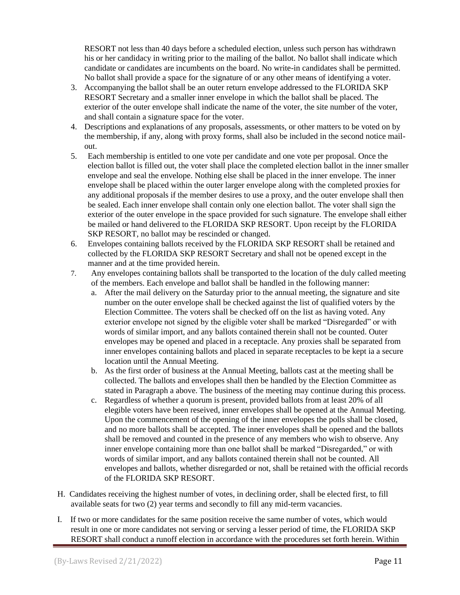RESORT not less than 40 days before a scheduled election, unless such person has withdrawn his or her candidacy in writing prior to the mailing of the ballot. No ballot shall indicate which candidate or candidates are incumbents on the board. No write-in candidates shall be permitted. No ballot shall provide a space for the signature of or any other means of identifying a voter.

- 3. Accompanying the ballot shall be an outer return envelope addressed to the FLORIDA SKP RESORT Secretary and a smaller inner envelope in which the ballot shall be placed. The exterior of the outer envelope shall indicate the name of the voter, the site number of the voter, and shall contain a signature space for the voter.
- 4. Descriptions and explanations of any proposals, assessments, or other matters to be voted on by the membership, if any*,* along with proxy forms, shall also be included in the second notice mailout.
- 5. Each membership is entitled to one vote per candidate and one vote per proposal*.* Once the election ballot is filled out, the voter shall place the completed election ballot in the inner smaller envelope and seal the envelope. Nothing else shall be placed in the inner envelope. The inner envelope shall be placed within the outer larger envelope along with the completed proxies for any additional proposals if the member desires to use a proxy, and the outer envelope shall then be sealed. Each inner envelope shall contain only one election ballot. The voter shall sign the exterior of the outer envelope in the space provided for such signature. The envelope shall either be mailed or hand delivered to the FLORIDA SKP RESORT. Upon receipt by the FLORIDA SKP RESORT, no ballot may be rescinded or changed.
- 6. Envelopes containing ballots received by the FLORIDA SKP RESORT shall be retained and collected by the FLORIDA SKP RESORT Secretary and shall not be opened except in the manner and at the time provided herein.
- 7. Any envelopes containing ballots shall be transported to the location of the duly called meeting of the members. Each envelope and ballot shall be handled in the following manner:
	- a. After the mail delivery on the Saturday prior to the annual meeting, the signature and site number on the outer envelope shall be checked against the list of qualified voters by the Election Committee. The voters shall be checked off on the list as having voted. Any exterior envelope not signed by the eligible voter shall be marked "Disregarded" or with words of similar import, and any ballots contained therein shall not be counted. Outer envelopes may be opened and placed in a receptacle. Any proxies shall be separated from inner envelopes containing ballots and placed in separate receptacles to be kept ia a secure location until the Annual Meeting.
	- b. As the first order of business at the Annual Meeting, ballots cast at the meeting shall be collected. The ballots and envelopes shall then be handled by the Election Committee as stated in Paragraph a above. The business of the meeting may continue during this process.
	- c. Regardless of whether a quorum is present, provided ballots from at least 20% of all elegible voters have been reseived, inner envelopes shall be opened at the Annual Meeting. Upon the commencement of the opening of the inner envelopes the polls shall be closed, and no more ballots shall be accepted. The inner envelopes shall be opened and the ballots shall be removed and counted in the presence of any members who wish to observe. Any inner envelope containing more than one ballot shall be marked "Disregarded," or with words of similar import, and any ballots contained therein shall not be counted. All envelopes and ballots, whether disregarded or not, shall be retained with the official records of the FLORIDA SKP RESORT.
- H. Candidates receiving the highest number of votes, in declining order, shall be elected first, to fill available seats for two (2) year terms and secondly to fill any mid-term vacancies.
- I. If two or more candidates for the same position receive the same number of votes, which would result in one or more candidates not serving or serving a lesser period of time, the FLORIDA SKP RESORT shall conduct a runoff election in accordance with the procedures set forth herein. Within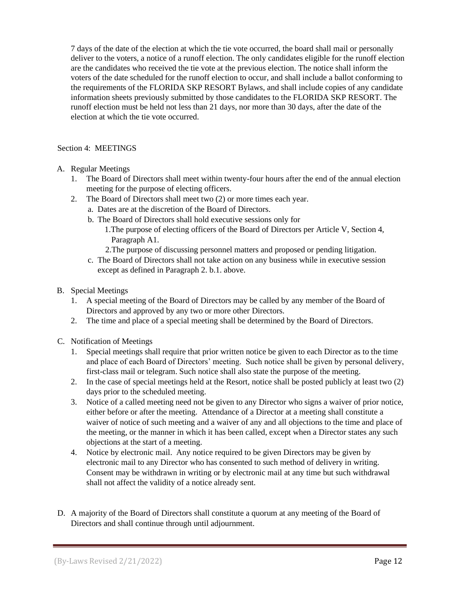7 days of the date of the election at which the tie vote occurred, the board shall mail or personally deliver to the voters, a notice of a runoff election. The only candidates eligible for the runoff election are the candidates who received the tie vote at the previous election. The notice shall inform the voters of the date scheduled for the runoff election to occur, and shall include a ballot conforming to the requirements of the FLORIDA SKP RESORT Bylaws, and shall include copies of any candidate information sheets previously submitted by those candidates to the FLORIDA SKP RESORT. The runoff election must be held not less than 21 days, nor more than 30 days, after the date of the election at which the tie vote occurred.

## Section 4: MEETINGS

- A. Regular Meetings
	- 1. The Board of Directors shall meet within twenty-four hours after the end of the annual election meeting for the purpose of electing officers.
	- 2. The Board of Directors shall meet two (2) or more times each year.
		- a. Dates are at the discretion of the Board of Directors.
		- b. The Board of Directors shall hold executive sessions only for
			- 1.The purpose of electing officers of the Board of Directors per Article V, Section 4, Paragraph A1.
			- 2.The purpose of discussing personnel matters and proposed or pending litigation.
		- c. The Board of Directors shall not take action on any business while in executive session except as defined in Paragraph 2. b.1. above.
- B. Special Meetings
	- 1. A special meeting of the Board of Directors may be called by any member of the Board of Directors and approved by any two or more other Directors.
	- 2. The time and place of a special meeting shall be determined by the Board of Directors.
- C. Notification of Meetings
	- 1. Special meetings shall require that prior written notice be given to each Director as to the time and place of each Board of Directors' meeting. Such notice shall be given by personal delivery, first-class mail or telegram. Such notice shall also state the purpose of the meeting.
	- 2. In the case of special meetings held at the Resort, notice shall be posted publicly at least two (2) days prior to the scheduled meeting.
	- 3. Notice of a called meeting need not be given to any Director who signs a waiver of prior notice, either before or after the meeting. Attendance of a Director at a meeting shall constitute a waiver of notice of such meeting and a waiver of any and all objections to the time and place of the meeting, or the manner in which it has been called, except when a Director states any such objections at the start of a meeting.
	- 4. Notice by electronic mail. Any notice required to be given Directors may be given by electronic mail to any Director who has consented to such method of delivery in writing. Consent may be withdrawn in writing or by electronic mail at any time but such withdrawal shall not affect the validity of a notice already sent.
- D. A majority of the Board of Directors shall constitute a quorum at any meeting of the Board of Directors and shall continue through until adjournment.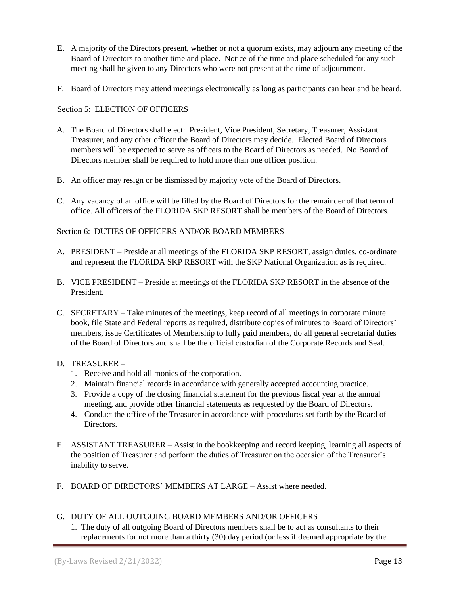- E. A majority of the Directors present, whether or not a quorum exists, may adjourn any meeting of the Board of Directors to another time and place. Notice of the time and place scheduled for any such meeting shall be given to any Directors who were not present at the time of adjournment.
- F. Board of Directors may attend meetings electronically as long as participants can hear and be heard.

## Section 5: ELECTION OF OFFICERS

- A. The Board of Directors shall elect: President, Vice President, Secretary, Treasurer, Assistant Treasurer, and any other officer the Board of Directors may decide. Elected Board of Directors members will be expected to serve as officers to the Board of Directors as needed. No Board of Directors member shall be required to hold more than one officer position.
- B. An officer may resign or be dismissed by majority vote of the Board of Directors.
- C. Any vacancy of an office will be filled by the Board of Directors for the remainder of that term of office. All officers of the FLORIDA SKP RESORT shall be members of the Board of Directors.

## Section 6: DUTIES OF OFFICERS AND/OR BOARD MEMBERS

- A. PRESIDENT Preside at all meetings of the FLORIDA SKP RESORT, assign duties, co-ordinate and represent the FLORIDA SKP RESORT with the SKP National Organization as is required.
- B. VICE PRESIDENT Preside at meetings of the FLORIDA SKP RESORT in the absence of the President.
- C. SECRETARY Take minutes of the meetings, keep record of all meetings in corporate minute book, file State and Federal reports as required, distribute copies of minutes to Board of Directors' members, issue Certificates of Membership to fully paid members, do all general secretarial duties of the Board of Directors and shall be the official custodian of the Corporate Records and Seal.

## D. TREASURER –

- 1. Receive and hold all monies of the corporation.
- 2. Maintain financial records in accordance with generally accepted accounting practice.
- 3. Provide a copy of the closing financial statement for the previous fiscal year at the annual meeting, and provide other financial statements as requested by the Board of Directors.
- 4. Conduct the office of the Treasurer in accordance with procedures set forth by the Board of Directors.
- E. ASSISTANT TREASURER Assist in the bookkeeping and record keeping, learning all aspects of the position of Treasurer and perform the duties of Treasurer on the occasion of the Treasurer's inability to serve.
- F. BOARD OF DIRECTORS' MEMBERS AT LARGE Assist where needed.

## G. DUTY OF ALL OUTGOING BOARD MEMBERS AND/OR OFFICERS

1. The duty of all outgoing Board of Directors members shall be to act as consultants to their replacements for not more than a thirty (30) day period (or less if deemed appropriate by the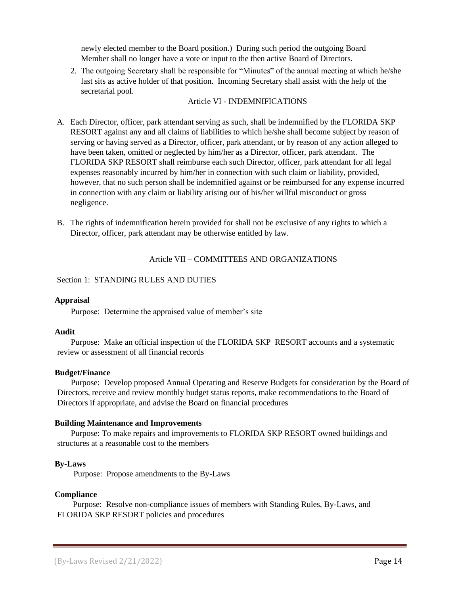newly elected member to the Board position.) During such period the outgoing Board Member shall no longer have a vote or input to the then active Board of Directors.

2. The outgoing Secretary shall be responsible for "Minutes" of the annual meeting at which he/she last sits as active holder of that position. Incoming Secretary shall assist with the help of the secretarial pool.

### Article VI - INDEMNIFICATIONS

- A. Each Director, officer, park attendant serving as such, shall be indemnified by the FLORIDA SKP RESORT against any and all claims of liabilities to which he/she shall become subject by reason of serving or having served as a Director, officer, park attendant, or by reason of any action alleged to have been taken, omitted or neglected by him/her as a Director, officer, park attendant. The FLORIDA SKP RESORT shall reimburse each such Director, officer, park attendant for all legal expenses reasonably incurred by him/her in connection with such claim or liability, provided, however, that no such person shall be indemnified against or be reimbursed for any expense incurred in connection with any claim or liability arising out of his/her willful misconduct or gross negligence.
- B. The rights of indemnification herein provided for shall not be exclusive of any rights to which a Director, officer, park attendant may be otherwise entitled by law.

### Article VII – COMMITTEES AND ORGANIZATIONS

### Section 1: STANDING RULES AND DUTIES

#### **Appraisal**

Purpose: Determine the appraised value of member's site

#### **Audit**

Purpose: Make an official inspection of the FLORIDA SKP RESORT accounts and a systematic review or assessment of all financial records

#### **Budget/Finance**

Purpose: Develop proposed Annual Operating and Reserve Budgets for consideration by the Board of Directors, receive and review monthly budget status reports, make recommendations to the Board of Directors if appropriate, and advise the Board on financial procedures

#### **Building Maintenance and Improvements**

Purpose: To make repairs and improvements to FLORIDA SKP RESORT owned buildings and structures at a reasonable cost to the members

#### **By-Laws**

Purpose: Propose amendments to the By-Laws

## **Compliance**

Purpose: Resolve non-compliance issues of members with Standing Rules, By-Laws, and FLORIDA SKP RESORT policies and procedures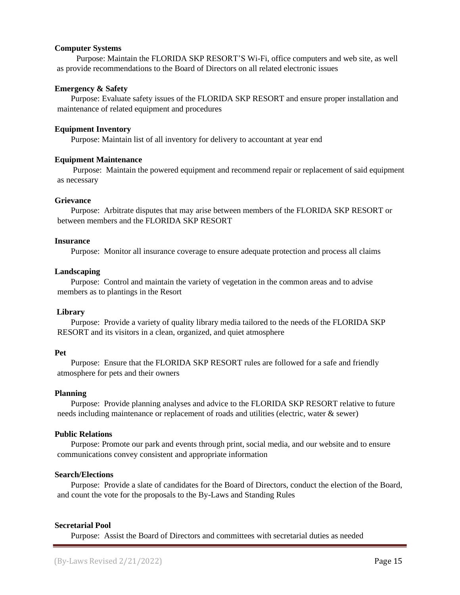### **Computer Systems**

 Purpose: Maintain the FLORIDA SKP RESORT'S Wi-Fi, office computers and web site, as well as provide recommendations to the Board of Directors on all related electronic issues

### **Emergency & Safety**

Purpose: Evaluate safety issues of the FLORIDA SKP RESORT and ensure proper installation and maintenance of related equipment and procedures

### **Equipment Inventory**

Purpose: Maintain list of all inventory for delivery to accountant at year end

### **Equipment Maintenance**

Purpose: Maintain the powered equipment and recommend repair or replacement of said equipment as necessary

### **Grievance**

Purpose: Arbitrate disputes that may arise between members of the FLORIDA SKP RESORT or between members and the FLORIDA SKP RESORT

#### **Insurance**

Purpose: Monitor all insurance coverage to ensure adequate protection and process all claims

### **Landscaping**

 Purpose: Control and maintain the variety of vegetation in the common areas and to advise members as to plantings in the Resort

## **Library**

Purpose: Provide a variety of quality library media tailored to the needs of the FLORIDA SKP RESORT and its visitors in a clean, organized, and quiet atmosphere

#### **Pet**

Purpose: Ensure that the FLORIDA SKP RESORT rules are followed for a safe and friendly atmosphere for pets and their owners

#### **Planning**

Purpose: Provide planning analyses and advice to the FLORIDA SKP RESORT relative to future needs including maintenance or replacement of roads and utilities (electric, water & sewer)

## **Public Relations**

Purpose: Promote our park and events through print, social media, and our website and to ensure communications convey consistent and appropriate information

#### **Search/Elections**

Purpose: Provide a slate of candidates for the Board of Directors, conduct the election of the Board, and count the vote for the proposals to the By-Laws and Standing Rules

## **Secretarial Pool**

Purpose: Assist the Board of Directors and committees with secretarial duties as needed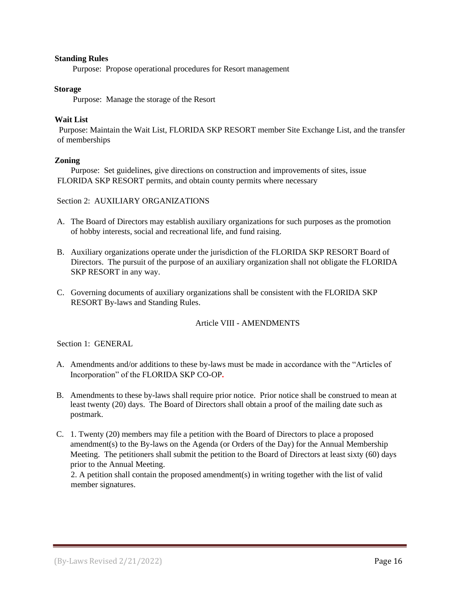## **Standing Rules**

Purpose: Propose operational procedures for Resort management

### **Storage**

Purpose: Manage the storage of the Resort

## **Wait List**

Purpose: Maintain the Wait List, FLORIDA SKP RESORT member Site Exchange List, and the transfer of memberships

## **Zoning**

Purpose: Set guidelines, give directions on construction and improvements of sites, issue FLORIDA SKP RESORT permits, and obtain county permits where necessary

### Section 2: AUXILIARY ORGANIZATIONS

- A. The Board of Directors may establish auxiliary organizations for such purposes as the promotion of hobby interests, social and recreational life, and fund raising.
- B. Auxiliary organizations operate under the jurisdiction of the FLORIDA SKP RESORT Board of Directors. The pursuit of the purpose of an auxiliary organization shall not obligate the FLORIDA SKP RESORT in any way.
- C. Governing documents of auxiliary organizations shall be consistent with the FLORIDA SKP RESORT By-laws and Standing Rules.

## Article VIII - AMENDMENTS

Section 1: GENERAL

- A. Amendments and/or additions to these by-laws must be made in accordance with the "Articles of Incorporation" of the FLORIDA SKP CO-OP**.**
- B. Amendments to these by-laws shall require prior notice. Prior notice shall be construed to mean at least twenty (20) days. The Board of Directors shall obtain a proof of the mailing date such as postmark.
- C. 1. Twenty (20) members may file a petition with the Board of Directors to place a proposed amendment(s) to the By-laws on the Agenda (or Orders of the Day) for the Annual Membership Meeting. The petitioners shall submit the petition to the Board of Directors at least sixty (60) days prior to the Annual Meeting.

 2. A petition shall contain the proposed amendment(s) in writing together with the list of valid member signatures.